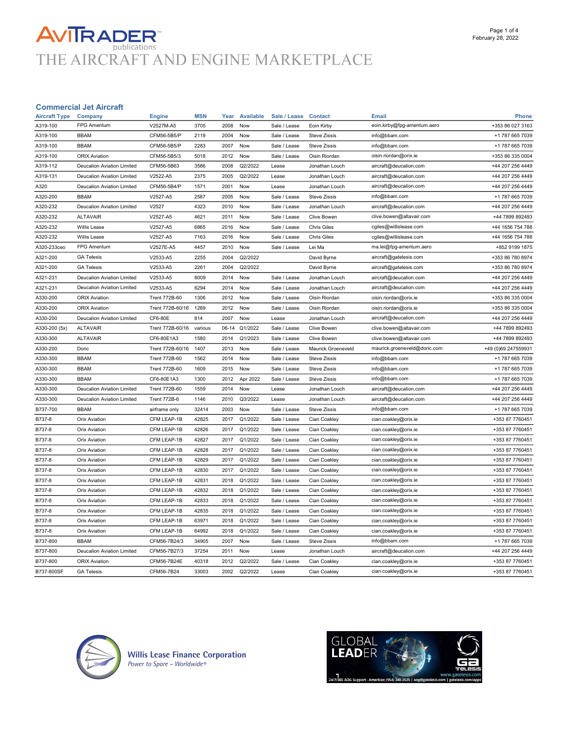# **AVITRADER**<br>THE AIRCRAFT AND ENGINE MARKETPLACE

### Commercial Jet Aircraft

| A319-100      | <b>Company</b>             | <b>Engine</b>        | <b>MSN</b> | Year    | <b>Available</b> | Sale / Lease | <b>Contact</b>      | <b>Email</b>                 | <b>Phone</b>        |
|---------------|----------------------------|----------------------|------------|---------|------------------|--------------|---------------------|------------------------------|---------------------|
|               | <b>FPG Amentum</b>         | V2527M-A5            | 3705       | 2008    | Now              | Sale / Lease | Eoin Kirby          | eoin.kirby@fpg-amentum.aero  | +353 86 027 3163    |
| A319-100      | <b>BBAM</b>                | CFM56-5B5/P          | 2119       | 2004    | Now              | Sale / Lease | <b>Steve Zissis</b> | info@bbam.com                | +1 787 665 7039     |
| A319-100      | <b>BBAM</b>                | CFM56-5B5/P          | 2283       | 2007    | Now              | Sale / Lease | <b>Steve Zissis</b> | info@bbam.com                | +1 787 665 7039     |
| A319-100      | <b>ORIX Aviation</b>       | CFM56-5B5/3          | 5018       | 2012    | Now              | Sale / Lease | Oisin Riordan       | oisin.riordan@orix.ie        | +353 86 335 0004    |
| A319-112      | Deucalion Aviation Limited | CFM56-5B63           | 3586       | 2008    | Q2/2022          | Lease        | Jonathan Louch      | aircraft@deucalion.com       | +44 207 256 4449    |
| A319-131      | Deucalion Aviation Limited | V2522-A5             | 2375       | 2005    | Q2/2022          | Lease        | Jonathan Louch      | aircraft@deucalion.com       | +44 207 256 4449    |
| A320          | Deucalion Aviation Limited | CFM56-5B4/P          | 1571       | 2001    | Now              | Lease        | Jonathan Louch      | aircraft@deucalion.com       | +44 207 256 4449    |
| A320-200      | <b>BBAM</b>                | V2527-A5             | 2587       | 2005    | Now              | Sale / Lease | Steve Zissis        | info@bbam.com                | +1 787 665 7039     |
| A320-232      | Deucalion Aviation Limited | V2527                | 4323       | 2010    | Now              | Sale / Lease | Jonathan Louch      | aircraft@deucalion.com       | +44 207 256 4449    |
| A320-232      | <b>ALTAVAIR</b>            | V2527-A5             | 4621       | 2011    | Now              | Sale / Lease | Clive Bowen         | clive.bowen@altavair.com     | +44 7899 892493     |
| A320-232      | Willis Lease               | V2527-A5             | 6865       | 2016    | Now              | Sale / Lease | <b>Chris Giles</b>  | cgiles@willislease.com       | +44 1656 754 788    |
| A320-232      | <b>Willis Lease</b>        | V2527-A5             | 7163       | 2016    | Now              | Sale / Lease | <b>Chris Giles</b>  | cgiles@willislease.com       | +44 1656 754 788    |
| A320-233ceo   | FPG Amentum                | V2527E-A5            | 4457       | 2010    | Now              | Sale / Lease | Lei Ma              | ma.lei@fpg-amentum.aero      | +852 9199 1875      |
| A321-200      | <b>GA Telesis</b>          | V2533-A5             | 2255       | 2004    | Q2/2022          |              | David Byrne         | aircraft@gatelesis.com       | +353 86 780 8974    |
| A321-200      | <b>GA Telesis</b>          | V2533-A5             | 2261       | 2004    | Q2/2022          |              | David Byrne         | aircraft@gatelesis.com       | +353 86 780 8974    |
| A321-231      | Deucalion Aviation Limited | V2533-A5             | 6009       | 2014    | Now              | Sale / Lease | Jonathan Louch      | aircraft@deucalion.com       | +44 207 256 4449    |
| A321-231      | Deucalion Aviation Limited | V2533-A5             | 6294       | 2014    | Now              | Sale / Lease | Jonathan Louch      | aircraft@deucalion.com       | +44 207 256 4449    |
| A330-200      | <b>ORIX Aviation</b>       | <b>Trent 772B-60</b> | 1306       | 2012    | Now              | Sale / Lease | Oisin Riordan       | oisin.riordan@orix.ie        | +353 86 335 0004    |
| A330-200      | <b>ORIX Aviation</b>       | Trent 772B-60/16     | 1289       | 2012    | Now              | Sale / Lease | Oisin Riordan       | oisin.riordan@orix.ie        | +353 86 335 0004    |
| A330-200      | Deucalion Aviation Limited | CF6-80E              | 814        | 2007    | Now              | Lease        | Jonathan Louch      | aircraft@deucalion.com       | +44 207 256 4449    |
| A330-200 (5x) | <b>ALTAVAIR</b>            | Trent 772B-60/16     | various    | $06-14$ | Q1/2022          | Sale / Lease | Clive Bowen         | clive.bowen@altavair.com     | +44 7899 892493     |
| A330-300      | <b>ALTAVAIR</b>            | CF6-80E1A3           | 1580       | 2014    | Q1/2023          | Sale / Lease | <b>Clive Bowen</b>  | clive.bowen@altavair.com     | +44 7899 892493     |
| A330-200      | Doric                      | Trent 772B-60/16     | 1407       | 2013    | Now              | Sale / Lease | Maurick Groeneveld  | maurick.groeneveld@doric.com | +49 (0)69 247559931 |
|               |                            |                      |            |         |                  |              |                     |                              |                     |
| A330-300      | <b>BBAM</b>                | <b>Trent 772B-60</b> | 1562       | 2014    | Now              | Sale / Lease | <b>Steve Zissis</b> | info@bbam.com                | +1 787 665 7039     |
| A330-300      | <b>BBAM</b>                | <b>Trent 772B-60</b> | 1609       | 2015    | Now              | Sale / Lease | <b>Steve Zissis</b> | info@bbam.com                | +1 787 665 7039     |
| A330-300      | <b>BBAM</b>                | CF6-80E1A3           | 1300       | 2012    | Apr 2022         | Sale / Lease | <b>Steve Zissis</b> | info@bbam.com                | +1 787 665 7039     |
| A330-300      | Deucalion Aviation Limited | <b>Trent 772B-60</b> | 1559       | 2014    | Now              | Lease        | Jonathan Louch      | aircraft@deucalion.com       | +44 207 256 4449    |
| A330-300      | Deucalion Aviation Limited | <b>Trent 772B-6</b>  | 1146       | 2010    | Q3/2022          | Lease        | Jonathan Louch      | aircraft@deucalion.com       | +44 207 256 4449    |
| B737-700      | <b>BBAM</b>                | airframe only        | 32414      | 2003    | Now              | Sale / Lease | <b>Steve Zissis</b> | info@bbam.com                | +1 787 665 7039     |
| B737-8        | <b>Orix Aviation</b>       | CFM LEAP-1B          | 42825      | 2017    | Q1/2022          | Sale / Lease | Cian Coakley        | cian.coakley@orix.ie         | +353 87 7760451     |
| B737-8        | <b>Orix Aviation</b>       | CFM LEAP-1B          | 42826      | 2017    | Q1/2022          | Sale / Lease | Cian Coakley        | cian.coakley@orix.ie         | +353 87 7760451     |
| B737-8        | <b>Orix Aviation</b>       | CFM LEAP-1B          | 42827      | 2017    | Q1/2022          | Sale / Lease | Cian Coakley        | cian.coakley@orix.ie         | +353 87 7760451     |
| B737-8        | <b>Orix Aviation</b>       | CFM LEAP-1B          | 42828      | 2017    | Q1/2022          | Sale / Lease | Cian Coakley        | cian.coakley@orix.ie         | +353 87 7760451     |
| B737-8        | <b>Orix Aviation</b>       | CFM LEAP-1B          | 42829      | 2017    | Q1/2022          | Sale / Lease | Cian Coakley        | cian.coakley@orix.ie         | +353 87 7760451     |
| B737-8        | <b>Orix Aviation</b>       | CFM LEAP-1B          | 42830      | 2017    | Q1/2022          | Sale / Lease | Cian Coakley        | cian.coakley@orix.ie         | +353 87 7760451     |
| B737-8        | <b>Orix Aviation</b>       | CFM LEAP-1B          | 42831      | 2018    | Q1/2022          | Sale / Lease | Cian Coakley        | cian.coakley@orix.ie         | +353 87 7760451     |
| B737-8        | <b>Orix Aviation</b>       | CFM LEAP-1B          | 42832      | 2018    | Q1/2022          | Sale / Lease | Cian Coakley        | cian.coakley@orix.ie         | +353 87 7760451     |
| B737-8        | <b>Orix Aviation</b>       | CFM LEAP-1B          | 42833      | 2018    | Q1/2022          | Sale / Lease | Cian Coakley        | cian.coakley@orix.ie         | +353 87 7760451     |
| B737-8        | <b>Orix Aviation</b>       | CFM LEAP-1B          | 42835      | 2018    | Q1/2022          | Sale / Lease | Cian Coakley        | cian.coakley@orix.ie         | +353 87 7760451     |
| B737-8        | <b>Orix Aviation</b>       | CFM LEAP-1B          | 63971      | 2018    | Q1/2022          | Sale / Lease | Cian Coakley        | cian.coakley@orix.ie         | +353 87 7760451     |
| B737-8        | <b>Orix Aviation</b>       | CFM LEAP-1B          | 64992      | 2018    | Q1/2022          | Sale / Lease | Cian Coakley        | cian.coakley@orix.ie         | +353 87 7760451     |
| B737-800      | <b>BBAM</b>                | CFM56-7B24/3         | 34905      | 2007    | Now              | Sale / Lease | <b>Steve Zissis</b> | info@bbam.com                | +1 787 665 7039     |
| B737-800      | Deucalion Aviation Limited | CFM56-7B27/3         | 37254      | 2011    | Now              | Lease        | Jonathan Louch      | aircraft@deucalion.com       | +44 207 256 4449    |
| B737-800      | <b>ORIX Aviation</b>       | CFM56-7B24E          | 40318      | 2012    | Q2/2022          | Sale / Lease | Cian Coakley        | cian.coakley@orix.ie         | +353 87 7760451     |



**Willis Lease Finance Corporation**<br>Power to Spare - Worldwide®

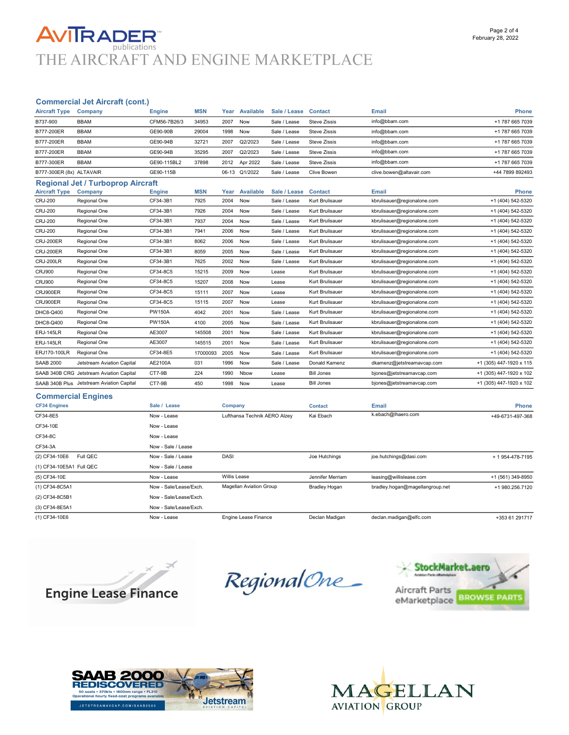## **AVITRADER** THE AIRCRAFT AND ENGINE MARKETPLACE

### Commercial Jet Aircraft (cont.)

| <b>Aircraft Type</b>     | Company                                   | <b>Engine</b> | <b>MSN</b> | Year | Available        | Sale / Lease Contact |                     | <b>Email</b>                | Phone                   |
|--------------------------|-------------------------------------------|---------------|------------|------|------------------|----------------------|---------------------|-----------------------------|-------------------------|
| B737-900                 | <b>BBAM</b>                               | CFM56-7B26/3  | 34953      | 2007 | Now              | Sale / Lease         | <b>Steve Zissis</b> | info@bbam.com               | +1 787 665 7039         |
| B777-200ER               | <b>BBAM</b>                               | GE90-90B      | 29004      | 1998 | Now              | Sale / Lease         | <b>Steve Zissis</b> | info@bbam.com               | +1 787 665 7039         |
| B777-200ER               | <b>BBAM</b>                               | GE90-94B      | 32721      | 2007 | Q2/2023          | Sale / Lease         | <b>Steve Zissis</b> | info@bbam.com               | +1 787 665 7039         |
| B777-200ER               | <b>BBAM</b>                               | GE90-94B      | 35295      | 2007 | Q2/2023          | Sale / Lease         | <b>Steve Zissis</b> | info@bbam.com               | +1 787 665 7039         |
| B777-300ER               | <b>BBAM</b>                               | GE90-115BL2   | 37898      | 2012 | Apr 2022         | Sale / Lease         | <b>Steve Zissis</b> | info@bbam.com               | +1 787 665 7039         |
| B777-300ER (8x) ALTAVAIR |                                           | GE90-115B     |            |      | 06-13 Q1/2022    | Sale / Lease         | Clive Bowen         | clive.bowen@altavair.com    | +44 7899 892493         |
|                          | <b>Regional Jet / Turboprop Aircraft</b>  |               |            |      |                  |                      |                     |                             |                         |
| <b>Aircraft Type</b>     | Company                                   | <b>Engine</b> | <b>MSN</b> | Year | <b>Available</b> | Sale / Lease         | <b>Contact</b>      | <b>Email</b>                | Phone                   |
| <b>CRJ-200</b>           | Regional One                              | CF34-3B1      | 7925       | 2004 | Now              | Sale / Lease         | Kurt Brulisauer     | kbrulisauer@regionalone.com | +1 (404) 542-5320       |
| <b>CRJ-200</b>           | Regional One                              | CF34-3B1      | 7926       | 2004 | Now              | Sale / Lease         | Kurt Brulisauer     | kbrulisauer@regionalone.com | +1 (404) 542-5320       |
| <b>CRJ-200</b>           | Regional One                              | CF34-3B1      | 7937       | 2004 | Now              | Sale / Lease         | Kurt Brulisauer     | kbrulisauer@regionalone.com | +1 (404) 542-5320       |
| <b>CRJ-200</b>           | Regional One                              | CF34-3B1      | 7941       | 2006 | Now              | Sale / Lease         | Kurt Brulisauer     | kbrulisauer@regionalone.com | +1 (404) 542-5320       |
| <b>CRJ-200ER</b>         | Regional One                              | CF34-3B1      | 8062       | 2006 | Now              | Sale / Lease         | Kurt Brulisauer     | kbrulisauer@regionalone.com | +1 (404) 542-5320       |
| <b>CRJ-200ER</b>         | Regional One                              | CF34-3B1      | 8059       | 2005 | Now              | Sale / Lease         | Kurt Brulisauer     | kbrulisauer@regionalone.com | +1 (404) 542-5320       |
| <b>CRJ-200LR</b>         | Regional One                              | CF34-3B1      | 7625       | 2002 | Now              | Sale / Lease         | Kurt Brulisauer     | kbrulisauer@regionalone.com | +1 (404) 542-5320       |
| <b>CRJ900</b>            | Regional One                              | CF34-8C5      | 15215      | 2009 | Now              | Lease                | Kurt Brulisauer     | kbrulisauer@regionalone.com | +1 (404) 542-5320       |
| <b>CRJ900</b>            | Regional One                              | CF34-8C5      | 15207      | 2008 | Now              | Lease                | Kurt Brulisauer     | kbrulisauer@regionalone.com | +1 (404) 542-5320       |
| CRJ900ER                 | Regional One                              | CF34-8C5      | 15111      | 2007 | <b>Now</b>       | Lease                | Kurt Brulisauer     | kbrulisauer@regionalone.com | +1 (404) 542-5320       |
| CRJ900ER                 | Regional One                              | CF34-8C5      | 15115      | 2007 | Now              | Lease                | Kurt Brulisauer     | kbrulisauer@regionalone.com | +1 (404) 542-5320       |
| DHC8-Q400                | Regional One                              | <b>PW150A</b> | 4042       | 2001 | Now              | Sale / Lease         | Kurt Brulisauer     | kbrulisauer@regionalone.com | +1 (404) 542-5320       |
| DHC8-Q400                | Regional One                              | <b>PW150A</b> | 4100       | 2005 | Now              | Sale / Lease         | Kurt Brulisauer     | kbrulisauer@regionalone.com | +1 (404) 542-5320       |
| <b>ERJ-145LR</b>         | Regional One                              | AE3007        | 145508     | 2001 | Now              | Sale / Lease         | Kurt Brulisauer     | kbrulisauer@regionalone.com | +1 (404) 542-5320       |
| <b>ERJ-145LR</b>         | Regional One                              | AE3007        | 145515     | 2001 | Now              | Sale / Lease         | Kurt Brulisauer     | kbrulisauer@regionalone.com | +1 (404) 542-5320       |
| ERJ170-100LR             | Regional One                              | CF34-8E5      | 17000093   | 2005 | Now              | Sale / Lease         | Kurt Brulisauer     | kbrulisauer@regionalone.com | +1 (404) 542-5320       |
| <b>SAAB 2000</b>         | Jetstream Aviation Capital                | AE2100A       | 031        | 1996 | Now              | Sale / Lease         | Donald Kamenz       | dkamenz@jetstreamavcap.com  | +1 (305) 447-1920 x 115 |
|                          | SAAB 340B CRG Jetstream Aviation Capital  | CT7-9B        | 224        | 1990 | Nbow             | Lease                | <b>Bill Jones</b>   | bjones@jetstreamavcap.com   | +1 (305) 447-1920 x 102 |
|                          | SAAB 340B Plus Jetstream Aviation Capital | CT7-9B        | 450        | 1998 | Now              | Lease                | <b>Bill Jones</b>   | bjones@jetstreamavcap.com   | +1 (305) 447-1920 x 102 |

#### Commercial Engines

| $\sim$                    |                        |                                |                      |                                 |                   |
|---------------------------|------------------------|--------------------------------|----------------------|---------------------------------|-------------------|
| <b>CF34 Engines</b>       | Sale / Lease           | Company                        | <b>Contact</b>       | Email                           | <b>Phone</b>      |
| CF34-8E5                  | Now - Lease            | Lufthansa Technik AERO Alzey   | Kai Ebach            | k.ebach@lhaero.com              | +49-6731-497-368  |
| CF34-10E                  | Now - Lease            |                                |                      |                                 |                   |
| CF34-8C                   | Now - Lease            |                                |                      |                                 |                   |
| CF34-3A                   | Now - Sale / Lease     |                                |                      |                                 |                   |
| (2) CF34-10E6<br>Full QEC | Now - Sale / Lease     | <b>DASI</b>                    | Joe Hutchings        | joe.hutchings@dasi.com          | + 1954-478-7195   |
| (1) CF34-10E5A1 Full QEC  | Now - Sale / Lease     |                                |                      |                                 |                   |
| (5) CF34-10E              | Now - Lease            | Willis Lease                   | Jennifer Merriam     | leasing@willislease.com         | +1 (561) 349-8950 |
| (1) CF34-8C5A1            | Now - Sale/Lease/Exch. | <b>Magellan Aviation Group</b> | <b>Bradley Hogan</b> | bradley.hogan@magellangroup.net | +1 980.256.7120   |
| (2) CF34-8C5B1            | Now - Sale/Lease/Exch. |                                |                      |                                 |                   |
| (3) CF34-8E5A1            | Now - Sale/Lease/Exch. |                                |                      |                                 |                   |
| (1) CF34-10E6             | Now - Lease            | Engine Lease Finance           | Declan Madigan       | declan.madigan@elfc.com         | +353 61 291717    |
|                           |                        |                                |                      |                                 |                   |



RegionalOne\_





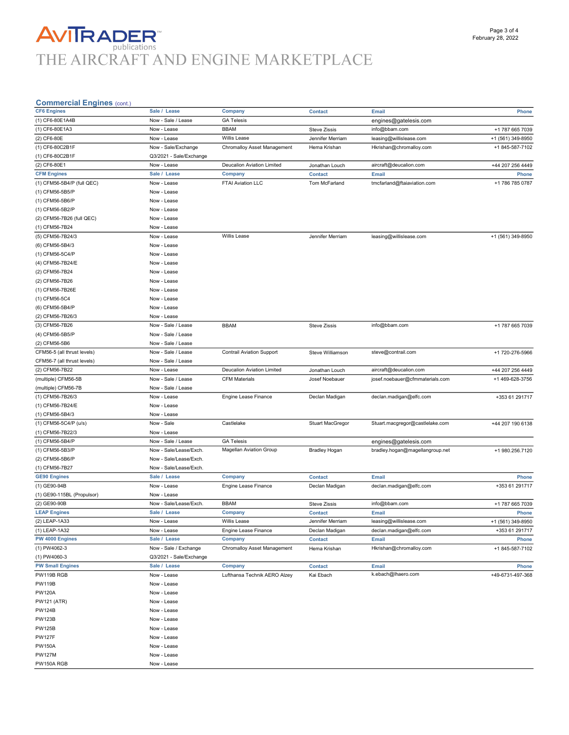# **AVITRADER**<br>THE AIRCRAFT AND ENGINE MARKETPLACE

### Commercial Engines (cont.)

| oommercial Liigines (com.)<br><b>CF6 Engines</b> |                         |                                   |                         |                                 |                   |
|--------------------------------------------------|-------------------------|-----------------------------------|-------------------------|---------------------------------|-------------------|
|                                                  | Sale / Lease            | <b>Company</b>                    | <b>Contact</b>          | <b>Email</b>                    | Phone             |
| (1) CF6-80E1A4B                                  | Now - Sale / Lease      | <b>GA Telesis</b>                 |                         | engines@gatelesis.com           |                   |
| (1) CF6-80E1A3                                   | Now - Lease             | <b>BBAM</b>                       | <b>Steve Zissis</b>     | info@bbam.com                   | +1 787 665 7039   |
| (2) CF6-80E                                      | Now - Lease             | <b>Willis Lease</b>               | Jennifer Merriam        | leasing@willislease.com         | +1 (561) 349-8950 |
| (1) CF6-80C2B1F                                  | Now - Sale/Exchange     | Chromalloy Asset Management       | Hema Krishan            | Hkrishan@chromalloy.com         | +1 845-587-7102   |
| (1) CF6-80C2B1F                                  | Q3/2021 - Sale/Exchange |                                   |                         |                                 |                   |
| (2) CF6-80E1                                     | Now - Lease             | <b>Deucalion Aviation Limited</b> | Jonathan Louch          | aircraft@deucalion.com          | +44 207 256 4449  |
| <b>CFM Engines</b>                               | Sale / Lease            | Company                           | <b>Contact</b>          | Email                           | Phone             |
| (1) CFM56-5B4/P (full QEC)                       | Now - Lease             | FTAI Aviation LLC                 | Tom McFarland           | tmcfarland@ftaiaviation.com     | +1 786 785 0787   |
| (1) CFM56-5B5/P                                  | Now - Lease             |                                   |                         |                                 |                   |
| (1) CFM56-5B6/P                                  | Now - Lease             |                                   |                         |                                 |                   |
| (1) CFM56-5B2/P                                  | Now - Lease             |                                   |                         |                                 |                   |
| (2) CFM56-7B26 (full QEC)                        | Now - Lease             |                                   |                         |                                 |                   |
| (1) CFM56-7B24                                   | Now - Lease             |                                   |                         |                                 |                   |
| (5) CFM56-7B24/3                                 | Now - Lease             | Willis Lease                      | Jennifer Merriam        | leasing@willislease.com         | +1 (561) 349-8950 |
| (6) CFM56-5B4/3                                  | Now - Lease             |                                   |                         |                                 |                   |
| (1) CFM56-5C4/P                                  |                         |                                   |                         |                                 |                   |
|                                                  | Now - Lease             |                                   |                         |                                 |                   |
| (4) CFM56-7B24/E                                 | Now - Lease             |                                   |                         |                                 |                   |
| (2) CFM56-7B24                                   | Now - Lease             |                                   |                         |                                 |                   |
| (2) CFM56-7B26                                   | Now - Lease             |                                   |                         |                                 |                   |
| (1) CFM56-7B26E                                  | Now - Lease             |                                   |                         |                                 |                   |
| (1) CFM56-5C4                                    | Now - Lease             |                                   |                         |                                 |                   |
| (6) CFM56-5B4/P                                  | Now - Lease             |                                   |                         |                                 |                   |
| (2) CFM56-7B26/3                                 | Now - Lease             |                                   |                         |                                 |                   |
| (3) CFM56-7B26                                   | Now - Sale / Lease      | <b>BBAM</b>                       | <b>Steve Zissis</b>     | info@bbam.com                   | +1 787 665 7039   |
| (4) CFM56-5B5/P                                  | Now - Sale / Lease      |                                   |                         |                                 |                   |
| (2) CFM56-5B6                                    | Now - Sale / Lease      |                                   |                         |                                 |                   |
| CFM56-5 (all thrust levels)                      | Now - Sale / Lease      | <b>Contrail Aviation Support</b>  | Steve Williamson        | steve@contrail.com              | +1 720-276-5966   |
| CFM56-7 (all thrust levels)                      | Now - Sale / Lease      |                                   |                         |                                 |                   |
| (2) CFM56-7B22                                   | Now - Lease             | Deucalion Aviation Limited        | Jonathan Louch          | aircraft@deucalion.com          | +44 207 256 4449  |
| (multiple) CFM56-5B                              | Now - Sale / Lease      | <b>CFM Materials</b>              | Josef Noebauer          | josef.noebauer@cfmmaterials.com | +1 469-628-3756   |
| (multiple) CFM56-7B                              | Now - Sale / Lease      |                                   |                         |                                 |                   |
| (1) CFM56-7B26/3                                 | Now - Lease             | Engine Lease Finance              | Declan Madigan          | declan.madigan@elfc.com         | +353 61 291717    |
| (1) CFM56-7B24/E                                 | Now - Lease             |                                   |                         |                                 |                   |
| (1) CFM56-5B4/3                                  | Now - Lease             |                                   |                         |                                 |                   |
| (1) CFM56-5C4/P (u/s)                            | Now - Sale              | Castlelake                        |                         |                                 |                   |
|                                                  |                         |                                   | <b>Stuart MacGregor</b> | Stuart.macgregor@castlelake.com | +44 207 190 6138  |
| (1) CFM56-7B22/3                                 | Now - Lease             |                                   |                         |                                 |                   |
| (1) CFM56-5B4/P                                  | Now - Sale / Lease      | <b>GA Telesis</b>                 |                         | engines@gatelesis.com           |                   |
| (1) CFM56-5B3/P                                  | Now - Sale/Lease/Exch.  | <b>Magellan Aviation Group</b>    | <b>Bradley Hogan</b>    | bradley.hogan@magellangroup.net | +1 980.256.7120   |
| (2) CFM56-5B6/P                                  | Now - Sale/Lease/Exch.  |                                   |                         |                                 |                   |
| (1) CFM56-7B27                                   | Now - Sale/Lease/Exch.  |                                   |                         |                                 |                   |
| <b>GE90 Engines</b>                              | Sale /<br>Lease         | Company                           | <b>Contact</b>          | Email                           | Phone             |
| (1) GE90-94B                                     | Now - Lease             | Engine Lease Finance              | Declan Madigan          | declan.madigan@elfc.com         | +353 61 291717    |
| (1) GE90-115BL (Propulsor)                       | Now - Lease             |                                   |                         |                                 |                   |
| (2) GE90-90B                                     | Now - Sale/Lease/Exch.  | <b>BBAM</b>                       | <b>Steve Zissis</b>     | info@bbam.com                   | +1 787 665 7039   |
| <b>LEAP Engines</b>                              | Sale / Lease            | Company                           | <b>Contact</b>          | <b>Email</b>                    | Phone             |
| (2) LEAP-1A33                                    | Now - Lease             | Willis Lease                      | Jennifer Merriam        | leasing@willislease.com         | +1 (561) 349-8950 |
| (1) LEAP-1A32                                    | Now - Lease             | Engine Lease Finance              | Declan Madigan          | declan.madigan@elfc.com         | +353 61 291717    |
| PW 4000 Engines                                  | Sale / Lease            | Company                           | <b>Contact</b>          | <b>Email</b>                    | Phone             |
| (1) PW4062-3                                     | Now - Sale / Exchange   | Chromalloy Asset Management       | Hema Krishan            | Hkrishan@chromalloy.com         | +1 845-587-7102   |
| (1) PW4060-3                                     | Q3/2021 - Sale/Exchange |                                   |                         |                                 |                   |
| <b>PW Small Engines</b>                          | Sale / Lease            | <b>Company</b>                    | <b>Contact</b>          | Email                           | Phone             |
| PW119B RGB                                       | Now - Lease             | Lufthansa Technik AERO Alzey      | Kai Ebach               | k.ebach@lhaero.com              | +49-6731-497-368  |
| <b>PW119B</b>                                    | Now - Lease             |                                   |                         |                                 |                   |
| <b>PW120A</b>                                    | Now - Lease             |                                   |                         |                                 |                   |
|                                                  |                         |                                   |                         |                                 |                   |
| <b>PW121 (ATR)</b>                               | Now - Lease             |                                   |                         |                                 |                   |
| <b>PW124B</b>                                    | Now - Lease             |                                   |                         |                                 |                   |
| <b>PW123B</b>                                    | Now - Lease             |                                   |                         |                                 |                   |
| <b>PW125B</b>                                    | Now - Lease             |                                   |                         |                                 |                   |
| <b>PW127F</b>                                    | Now - Lease             |                                   |                         |                                 |                   |
| <b>PW150A</b>                                    | Now - Lease             |                                   |                         |                                 |                   |
| <b>PW127M</b>                                    | Now - Lease             |                                   |                         |                                 |                   |
| PW150A RGB                                       | Now - Lease             |                                   |                         |                                 |                   |